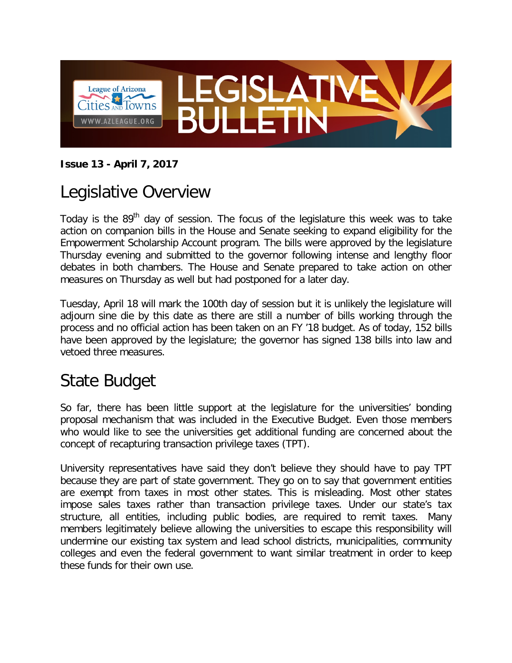

#### **Issue 13 - April 7, 2017**

## Legislative Overview

Today is the  $89<sup>th</sup>$  day of session. The focus of the legislature this week was to take action on companion bills in the House and Senate seeking to expand eligibility for the Empowerment Scholarship Account program. The bills were approved by the legislature Thursday evening and submitted to the governor following intense and lengthy floor debates in both chambers. The House and Senate prepared to take action on other measures on Thursday as well but had postponed for a later day.

Tuesday, April 18 will mark the 100th day of session but it is unlikely the legislature will adjourn sine die by this date as there are still a number of bills working through the process and no official action has been taken on an FY '18 budget. As of today, 152 bills have been approved by the legislature; the governor has signed 138 bills into law and vetoed three measures.

## State Budget

So far, there has been little support at the legislature for the universities' bonding proposal mechanism that was included in the Executive Budget. Even those members who would like to see the universities get additional funding are concerned about the concept of recapturing transaction privilege taxes (TPT).

University representatives have said they don't believe they should have to pay TPT because they are part of state government. They go on to say that government entities are exempt from taxes in most other states. This is misleading. Most other states impose sales taxes rather than transaction privilege taxes. Under our state's tax structure, all entities, including public bodies, are required to remit taxes. Many members legitimately believe allowing the universities to escape this responsibility will undermine our existing tax system and lead school districts, municipalities, community colleges and even the federal government to want similar treatment in order to keep these funds for their own use.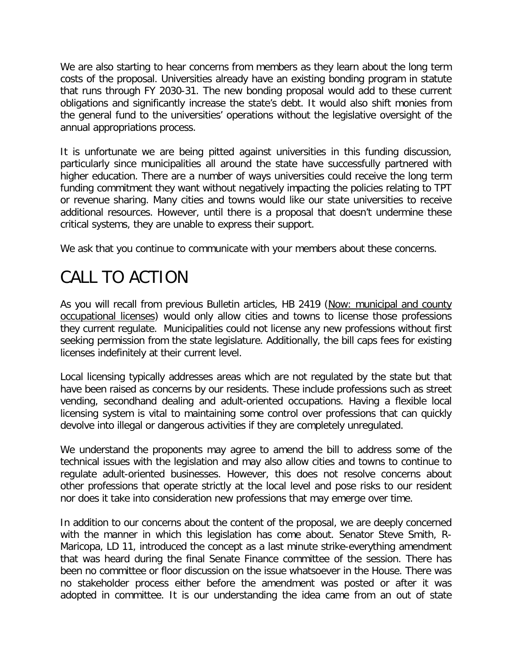We are also starting to hear concerns from members as they learn about the long term costs of the proposal. Universities already have an existing bonding program in statute that runs through FY 2030-31. The new bonding proposal would add to these current obligations and significantly increase the state's debt. It would also shift monies from the general fund to the universities' operations without the legislative oversight of the annual appropriations process.

It is unfortunate we are being pitted against universities in this funding discussion, particularly since municipalities all around the state have successfully partnered with higher education. There are a number of ways universities could receive the long term funding commitment they want without negatively impacting the policies relating to TPT or revenue sharing. Many cities and towns would like our state universities to receive additional resources. However, until there is a proposal that doesn't undermine these critical systems, they are unable to express their support.

We ask that you continue to communicate with your members about these concerns.

# CALL TO ACTION

As you will recall from previous Bulletin articles, HB 2419 (Now: municipal and county occupational licenses) would only allow cities and towns to license those professions they current regulate. Municipalities could not license any new professions without first seeking permission from the state legislature. Additionally, the bill caps fees for existing licenses indefinitely at their current level.

Local licensing typically addresses areas which are not regulated by the state but that have been raised as concerns by our residents. These include professions such as street vending, secondhand dealing and adult-oriented occupations. Having a flexible local licensing system is vital to maintaining some control over professions that can quickly devolve into illegal or dangerous activities if they are completely unregulated.

We understand the proponents may agree to amend the bill to address some of the technical issues with the legislation and may also allow cities and towns to continue to regulate adult-oriented businesses. However, this does not resolve concerns about other professions that operate strictly at the local level and pose risks to our resident nor does it take into consideration new professions that may emerge over time.

In addition to our concerns about the content of the proposal, we are deeply concerned with the manner in which this legislation has come about. Senator Steve Smith, R-Maricopa, LD 11, introduced the concept as a last minute strike-everything amendment that was heard during the final Senate Finance committee of the session. There has been no committee or floor discussion on the issue whatsoever in the House. There was no stakeholder process either before the amendment was posted or after it was adopted in committee. It is our understanding the idea came from an out of state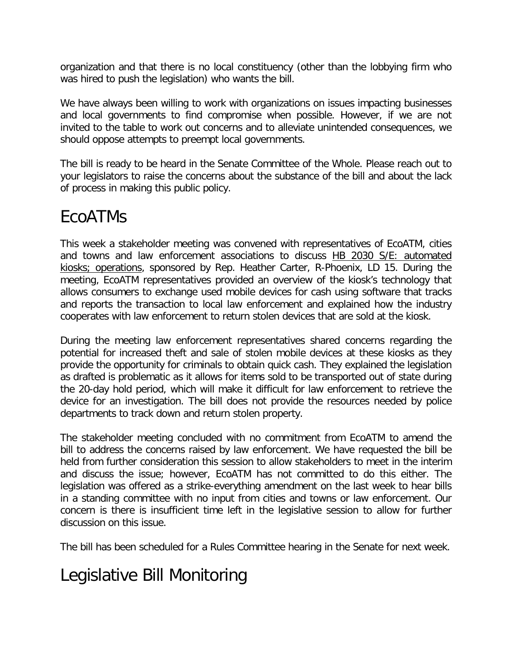organization and that there is no local constituency (other than the lobbying firm who was hired to push the legislation) who wants the bill.

We have always been willing to work with organizations on issues impacting businesses and local governments to find compromise when possible. However, if we are not invited to the table to work out concerns and to alleviate unintended consequences, we should oppose attempts to preempt local governments.

The bill is ready to be heard in the Senate Committee of the Whole. Please reach out to your legislators to raise the concerns about the substance of the bill and about the lack of process in making this public policy.

### EcoATMs

This week a stakeholder meeting was convened with representatives of EcoATM, cities and towns and law enforcement associations to discuss HB 2030 S/E: automated kiosks; operations, sponsored by Rep. Heather Carter, R-Phoenix, LD 15. During the meeting, EcoATM representatives provided an overview of the kiosk's technology that allows consumers to exchange used mobile devices for cash using software that tracks and reports the transaction to local law enforcement and explained how the industry cooperates with law enforcement to return stolen devices that are sold at the kiosk.

During the meeting law enforcement representatives shared concerns regarding the potential for increased theft and sale of stolen mobile devices at these kiosks as they provide the opportunity for criminals to obtain quick cash. They explained the legislation as drafted is problematic as it allows for items sold to be transported out of state during the 20-day hold period, which will make it difficult for law enforcement to retrieve the device for an investigation. The bill does not provide the resources needed by police departments to track down and return stolen property.

The stakeholder meeting concluded with no commitment from EcoATM to amend the bill to address the concerns raised by law enforcement. We have requested the bill be held from further consideration this session to allow stakeholders to meet in the interim and discuss the issue; however, EcoATM has not committed to do this either. The legislation was offered as a strike-everything amendment on the last week to hear bills in a standing committee with no input from cities and towns or law enforcement. Our concern is there is insufficient time left in the legislative session to allow for further discussion on this issue.

The bill has been scheduled for a Rules Committee hearing in the Senate for next week.

## Legislative Bill Monitoring